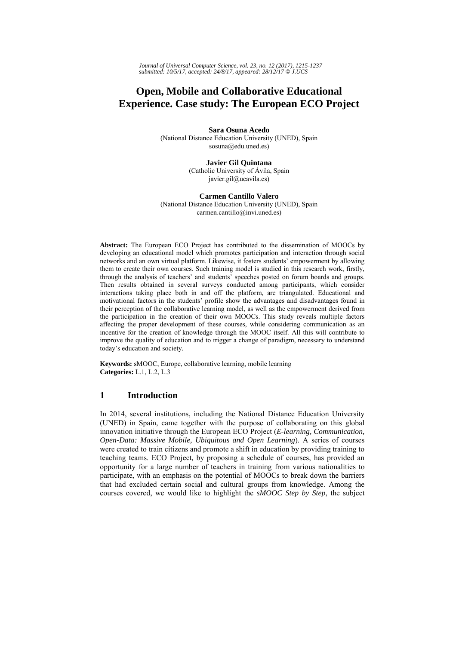*Journal of Universal Computer Science, vol. 23, no. 12 (2017), 1215-1237 submitted: 10/5/17, accepted: 24/8/17, appeared: 28/12/17* © *J.UCS*

# **Open, Mobile and Collaborative Educational Experience. Case study: The European ECO Project**

**Sara Osuna Acedo**  (National Distance Education University (UNED), Spain sosuna@edu.uned.es)

> **Javier Gil Quintana**  (Catholic University of Ávila, Spain javier.gil@ucavila.es)

**Carmen Cantillo Valero**  (National Distance Education University (UNED), Spain carmen.cantillo@invi.uned.es)

**Abstract:** The European ECO Project has contributed to the dissemination of MOOCs by developing an educational model which promotes participation and interaction through social networks and an own virtual platform. Likewise, it fosters students' empowerment by allowing them to create their own courses. Such training model is studied in this research work, firstly, through the analysis of teachers' and students' speeches posted on forum boards and groups. Then results obtained in several surveys conducted among participants, which consider interactions taking place both in and off the platform, are triangulated. Educational and motivational factors in the students' profile show the advantages and disadvantages found in their perception of the collaborative learning model, as well as the empowerment derived from the participation in the creation of their own MOOCs. This study reveals multiple factors affecting the proper development of these courses, while considering communication as an incentive for the creation of knowledge through the MOOC itself. All this will contribute to improve the quality of education and to trigger a change of paradigm, necessary to understand today's education and society.

**Keywords:** sMOOC, Europe, collaborative learning, mobile learning **Categories:** L.1, L.2, L.3

# **1 Introduction**

In 2014, several institutions, including the National Distance Education University (UNED) in Spain, came together with the purpose of collaborating on this global innovation initiative through the European ECO Project (*E-learning, Communication, Open-Data: Massive Mobile, Ubiquitous and Open Learning*). A series of courses were created to train citizens and promote a shift in education by providing training to teaching teams. ECO Project*,* by proposing a schedule of courses, has provided an opportunity for a large number of teachers in training from various nationalities to participate, with an emphasis on the potential of MOOCs to break down the barriers that had excluded certain social and cultural groups from knowledge. Among the courses covered, we would like to highlight the *sMOOC Step by Step*, the subject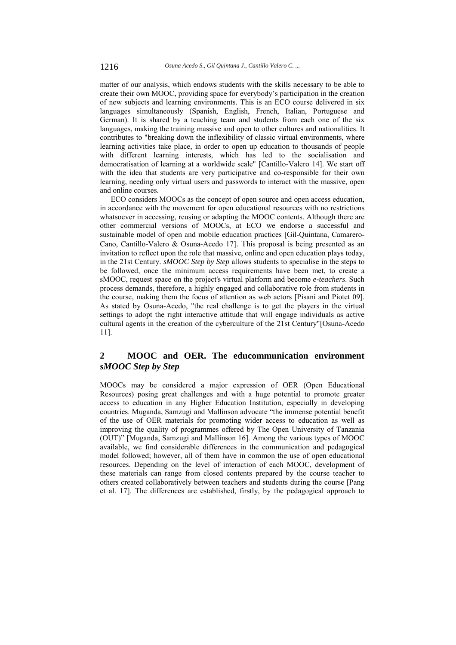matter of our analysis, which endows students with the skills necessary to be able to create their own MOOC, providing space for everybody's participation in the creation of new subjects and learning environments. This is an ECO course delivered in six languages simultaneously (Spanish, English, French, Italian, Portuguese and German). It is shared by a teaching team and students from each one of the six languages, making the training massive and open to other cultures and nationalities. It contributes to "breaking down the inflexibility of classic virtual environments, where learning activities take place, in order to open up education to thousands of people with different learning interests, which has led to the socialisation and democratisation of learning at a worldwide scale" [Cantillo-Valero 14]. We start off with the idea that students are very participative and co-responsible for their own learning, needing only virtual users and passwords to interact with the massive, open and online courses.

ECO considers MOOCs as the concept of open source and open access education, in accordance with the movement for open educational resources with no restrictions whatsoever in accessing, reusing or adapting the MOOC contents. Although there are other commercial versions of MOOCs, at ECO we endorse a successful and sustainable model of open and mobile education practices [Gil-Quintana, Camarero-Cano, Cantillo-Valero & Osuna-Acedo 17]. This proposal is being presented as an invitation to reflect upon the role that massive, online and open education plays today, in the 21st Century. *sMOOC Step by Step* allows students to specialise in the steps to be followed, once the minimum access requirements have been met, to create a sMOOC, request space on the project's virtual platform and become *e-teachers*. Such process demands, therefore, a highly engaged and collaborative role from students in the course, making them the focus of attention as web actors [Pisani and Piotet 09]. As stated by Osuna-Acedo, "the real challenge is to get the players in the virtual settings to adopt the right interactive attitude that will engage individuals as active cultural agents in the creation of the cyberculture of the 21st Century"[Osuna-Acedo 11].

# **2 MOOC and OER. The educommunication environment** *sMOOC Step by Step*

MOOCs may be considered a major expression of OER (Open Educational Resources) posing great challenges and with a huge potential to promote greater access to education in any Higher Education Institution, especially in developing countries. Muganda, Samzugi and Mallinson advocate "the immense potential benefit of the use of OER materials for promoting wider access to education as well as improving the quality of programmes offered by The Open University of Tanzania (OUT)" [Muganda, Samzugi and Mallinson 16]. Among the various types of MOOC available, we find considerable differences in the communication and pedagogical model followed; however, all of them have in common the use of open educational resources. Depending on the level of interaction of each MOOC, development of these materials can range from closed contents prepared by the course teacher to others created collaboratively between teachers and students during the course [Pang et al. 17]. The differences are established, firstly, by the pedagogical approach to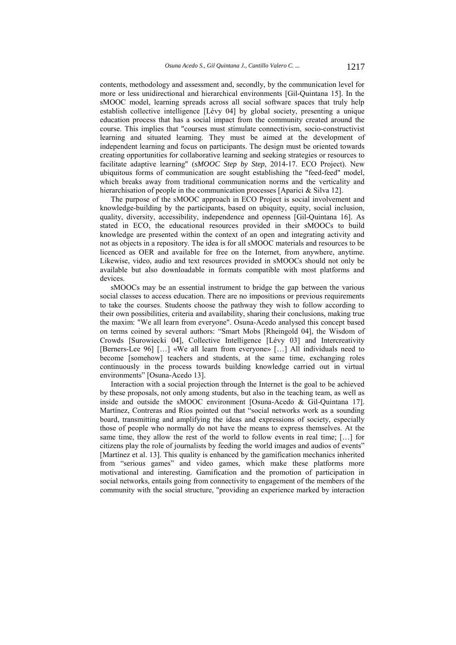contents, methodology and assessment and, secondly, by the communication level for more or less unidirectional and hierarchical environments [Gil-Quintana 15]. In the sMOOC model, learning spreads across all social software spaces that truly help establish collective intelligence [Lévy 04] by global society, presenting a unique education process that has a social impact from the community created around the course. This implies that "courses must stimulate connectivism, socio-constructivist learning and situated learning. They must be aimed at the development of independent learning and focus on participants. The design must be oriented towards creating opportunities for collaborative learning and seeking strategies or resources to facilitate adaptive learning" (*sMOOC Step by Step*, 2014-17. ECO Project). New ubiquitous forms of communication are sought establishing the "feed-feed" model. which breaks away from traditional communication norms and the verticality and hierarchisation of people in the communication processes [Aparici & Silva 12].

The purpose of the sMOOC approach in ECO Project is social involvement and knowledge-building by the participants, based on ubiquity, equity, social inclusion, quality, diversity, accessibility, independence and openness [Gil-Quintana 16]. As stated in ECO, the educational resources provided in their sMOOCs to build knowledge are presented within the context of an open and integrating activity and not as objects in a repository. The idea is for all sMOOC materials and resources to be licenced as OER and available for free on the Internet, from anywhere, anytime. Likewise, video, audio and text resources provided in sMOOCs should not only be available but also downloadable in formats compatible with most platforms and devices.

sMOOCs may be an essential instrument to bridge the gap between the various social classes to access education. There are no impositions or previous requirements to take the courses. Students choose the pathway they wish to follow according to their own possibilities, criteria and availability, sharing their conclusions, making true the maxim: "We all learn from everyone". Osuna-Acedo analysed this concept based on terms coined by several authors: "Smart Mobs [Rheingold 04], the Wisdom of Crowds [Surowiecki 04], Collective Intelligence [Lévy 03] and Intercreativity [Berners-Lee 96] […] «We all learn from everyone» […] All individuals need to become [somehow] teachers and students, at the same time, exchanging roles continuously in the process towards building knowledge carried out in virtual environments" [Osuna-Acedo 13].

Interaction with a social projection through the Internet is the goal to be achieved by these proposals, not only among students, but also in the teaching team, as well as inside and outside the sMOOC environment [Osuna-Acedo & Gil-Quintana 17]. Martínez, Contreras and Ríos pointed out that "social networks work as a sounding board, transmitting and amplifying the ideas and expressions of society, especially those of people who normally do not have the means to express themselves. At the same time, they allow the rest of the world to follow events in real time; […] for citizens play the role of journalists by feeding the world images and audios of events" [Martínez et al. 13]. This quality is enhanced by the gamification mechanics inherited from "serious games" and video games, which make these platforms more motivational and interesting. Gamification and the promotion of participation in social networks, entails going from connectivity to engagement of the members of the community with the social structure, "providing an experience marked by interaction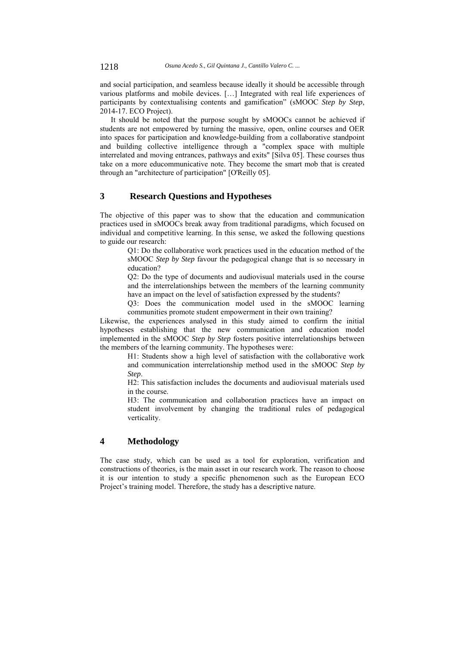and social participation, and seamless because ideally it should be accessible through various platforms and mobile devices. […] Integrated with real life experiences of participants by contextualising contents and gamification" (sMOOC *Step by Step*, 2014-17. ECO Project).

It should be noted that the purpose sought by sMOOCs cannot be achieved if students are not empowered by turning the massive, open, online courses and OER into spaces for participation and knowledge-building from a collaborative standpoint and building collective intelligence through a "complex space with multiple interrelated and moving entrances, pathways and exits" [Silva 05]. These courses thus take on a more educommunicative note. They become the smart mob that is created through an "architecture of participation" [O'Reilly 05].

## **3 Research Questions and Hypotheses**

The objective of this paper was to show that the education and communication practices used in sMOOCs break away from traditional paradigms, which focused on individual and competitive learning. In this sense, we asked the following questions to guide our research:

> Q1: Do the collaborative work practices used in the education method of the sMOOC *Step by Step* favour the pedagogical change that is so necessary in education?

> Q2: Do the type of documents and audiovisual materials used in the course and the interrelationships between the members of the learning community have an impact on the level of satisfaction expressed by the students?

> Q3: Does the communication model used in the sMOOC learning communities promote student empowerment in their own training?

Likewise, the experiences analysed in this study aimed to confirm the initial hypotheses establishing that the new communication and education model implemented in the sMOOC *Step by Step* fosters positive interrelationships between the members of the learning community. The hypotheses were:

> H1: Students show a high level of satisfaction with the collaborative work and communication interrelationship method used in the sMOOC *Step by Step*.

> H2: This satisfaction includes the documents and audiovisual materials used in the course.

> H3: The communication and collaboration practices have an impact on student involvement by changing the traditional rules of pedagogical verticality.

# **4 Methodology**

The case study, which can be used as a tool for exploration, verification and constructions of theories, is the main asset in our research work. The reason to choose it is our intention to study a specific phenomenon such as the European ECO Project's training model. Therefore, the study has a descriptive nature.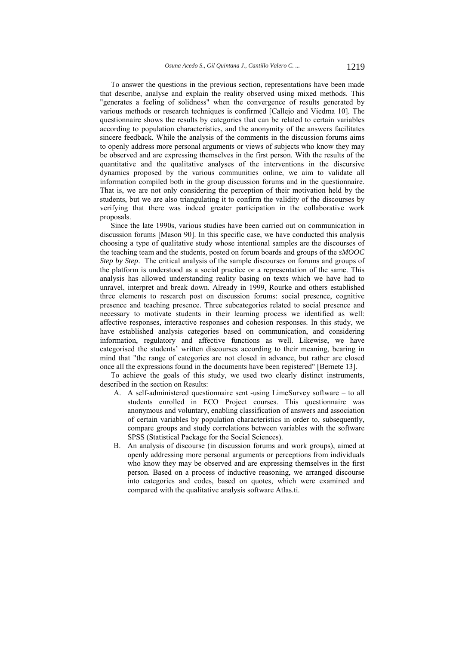To answer the questions in the previous section, representations have been made that describe, analyse and explain the reality observed using mixed methods. This "generates a feeling of solidness" when the convergence of results generated by various methods or research techniques is confirmed [Callejo and Viedma 10]. The questionnaire shows the results by categories that can be related to certain variables according to population characteristics, and the anonymity of the answers facilitates sincere feedback. While the analysis of the comments in the discussion forums aims to openly address more personal arguments or views of subjects who know they may be observed and are expressing themselves in the first person. With the results of the quantitative and the qualitative analyses of the interventions in the discursive dynamics proposed by the various communities online, we aim to validate all information compiled both in the group discussion forums and in the questionnaire. That is, we are not only considering the perception of their motivation held by the students, but we are also triangulating it to confirm the validity of the discourses by verifying that there was indeed greater participation in the collaborative work proposals.

Since the late 1990s, various studies have been carried out on communication in discussion forums [Mason 90]. In this specific case, we have conducted this analysis choosing a type of qualitative study whose intentional samples are the discourses of the teaching team and the students, posted on forum boards and groups of the *sMOOC Step by Step*. The critical analysis of the sample discourses on forums and groups of the platform is understood as a social practice or a representation of the same. This analysis has allowed understanding reality basing on texts which we have had to unravel, interpret and break down. Already in 1999, Rourke and others established three elements to research post on discussion forums: social presence, cognitive presence and teaching presence. Three subcategories related to social presence and necessary to motivate students in their learning process we identified as well: affective responses, interactive responses and cohesion responses. In this study, we have established analysis categories based on communication, and considering information, regulatory and affective functions as well. Likewise, we have categorised the students' written discourses according to their meaning, bearing in mind that "the range of categories are not closed in advance, but rather are closed once all the expressions found in the documents have been registered" [Bernete 13].

To achieve the goals of this study, we used two clearly distinct instruments, described in the section on Results:

- A. A self-administered questionnaire sent -using LimeSurvey software to all students enrolled in ECO Project courses. This questionnaire was anonymous and voluntary, enabling classification of answers and association of certain variables by population characteristics in order to, subsequently, compare groups and study correlations between variables with the software SPSS (Statistical Package for the Social Sciences).
- B. An analysis of discourse (in discussion forums and work groups), aimed at openly addressing more personal arguments or perceptions from individuals who know they may be observed and are expressing themselves in the first person. Based on a process of inductive reasoning, we arranged discourse into categories and codes, based on quotes, which were examined and compared with the qualitative analysis software Atlas.ti.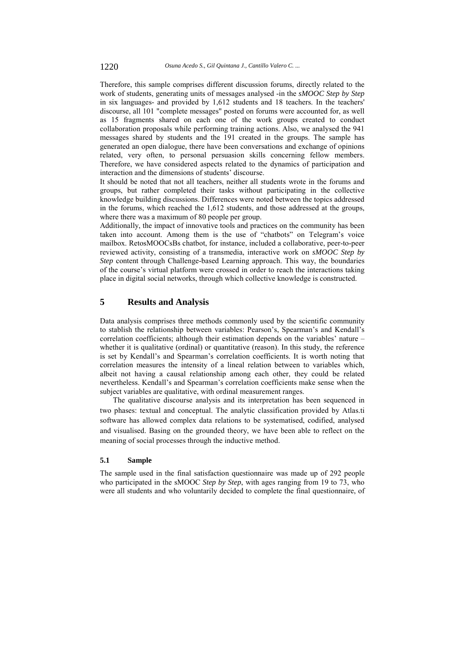Therefore, this sample comprises different discussion forums, directly related to the work of students, generating units of messages analysed -in the *sMOOC Step by Step* in six languages- and provided by 1,612 students and 18 teachers. In the teachers' discourse, all 101 "complete messages" posted on forums were accounted for, as well as 15 fragments shared on each one of the work groups created to conduct collaboration proposals while performing training actions. Also, we analysed the 941 messages shared by students and the 191 created in the groups. The sample has generated an open dialogue, there have been conversations and exchange of opinions related, very often, to personal persuasion skills concerning fellow members. Therefore, we have considered aspects related to the dynamics of participation and interaction and the dimensions of students' discourse.

It should be noted that not all teachers, neither all students wrote in the forums and groups, but rather completed their tasks without participating in the collective knowledge building discussions. Differences were noted between the topics addressed in the forums, which reached the 1,612 students, and those addressed at the groups, where there was a maximum of 80 people per group.

Additionally, the impact of innovative tools and practices on the community has been taken into account. Among them is the use of "chatbots" on Telegram's voice mailbox. RetosMOOCsBs chatbot, for instance, included a collaborative, peer-to-peer reviewed activity, consisting of a transmedia, interactive work on *sMOOC Step by Step* content through Challenge-based Learning approach. This way, the boundaries of the course's virtual platform were crossed in order to reach the interactions taking place in digital social networks, through which collective knowledge is constructed.

# **5 Results and Analysis**

Data analysis comprises three methods commonly used by the scientific community to stablish the relationship between variables: Pearson's, Spearman's and Kendall's correlation coefficients; although their estimation depends on the variables' nature – whether it is qualitative (ordinal) or quantitative (reason). In this study, the reference is set by Kendall's and Spearman's correlation coefficients. It is worth noting that correlation measures the intensity of a lineal relation between to variables which, albeit not having a causal relationship among each other, they could be related nevertheless. Kendall's and Spearman's correlation coefficients make sense when the subject variables are qualitative, with ordinal measurement ranges.

The qualitative discourse analysis and its interpretation has been sequenced in two phases: textual and conceptual. The analytic classification provided by Atlas.ti software has allowed complex data relations to be systematised, codified, analysed and visualised. Basing on the grounded theory, we have been able to reflect on the meaning of social processes through the inductive method.

#### **5.1 Sample**

The sample used in the final satisfaction questionnaire was made up of 292 people who participated in the sMOOC *Step by Step*, with ages ranging from 19 to 73, who were all students and who voluntarily decided to complete the final questionnaire, of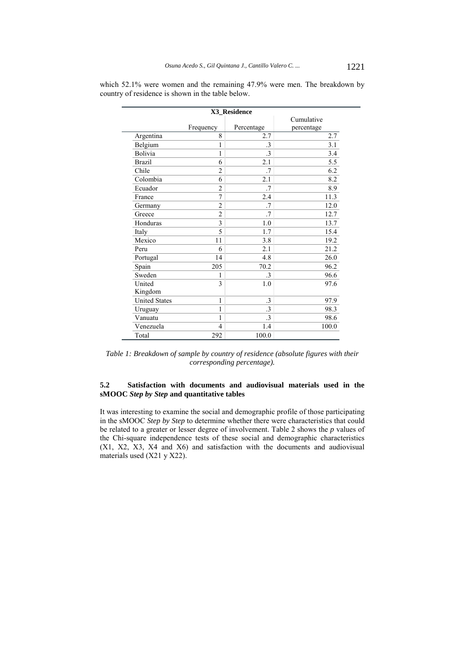|                      |                | X3_Residence |                          |
|----------------------|----------------|--------------|--------------------------|
|                      | Frequency      | Percentage   | Cumulative<br>percentage |
| Argentina            | 8              | 2.7          | 2.7                      |
| Belgium              | 1              | $\cdot$ 3    | 3.1                      |
| Bolivia              | 1              | .3           | 3.4                      |
| <b>Brazil</b>        | 6              | 2.1          | 5.5                      |
| Chile                | $\overline{c}$ | .7           | 6.2                      |
| Colombia             | 6              | 2.1          | 8.2                      |
| Ecuador              | $\overline{2}$ | .7           | 8.9                      |
| France               | 7              | 2.4          | 11.3                     |
| Germany              | $\overline{c}$ | .7           | 12.0                     |
| Greece               | $\overline{c}$ | .7           | 12.7                     |
| Honduras             | 3              | 1.0          | 13.7                     |
| Italy                | 5              | 1.7          | 15.4                     |
| Mexico               | 11             | 3.8          | 19.2                     |
| Peru                 | 6              | 2.1          | 21.2                     |
| Portugal             | 14             | 4.8          | 26.0                     |
| Spain                | 205            | 70.2         | 96.2                     |
| Sweden               | 1              | $\cdot$ 3    | 96.6                     |
| United               | 3              | 1.0          | 97.6                     |
| Kingdom              |                |              |                          |
| <b>United States</b> | 1              | $\cdot$ 3    | 97.9                     |
| Uruguay              | $\mathbf{1}$   | $\cdot$ 3    | 98.3                     |
| Vanuatu              | $\mathbf{1}$   | $\cdot$ 3    | 98.6                     |
| Venezuela            | $\overline{4}$ | 1.4          | 100.0                    |
| Total                | 292            | 100.0        |                          |

which 52.1% were women and the remaining 47.9% were men. The breakdown by country of residence is shown in the table below.

*Table 1: Breakdown of sample by country of residence (absolute figures with their corresponding percentage).* 

### **5.2 Satisfaction with documents and audiovisual materials used in the sMOOC** *Step by Step* **and quantitative tables**

It was interesting to examine the social and demographic profile of those participating in the sMOOC *Step by Step* to determine whether there were characteristics that could be related to a greater or lesser degree of involvement. Table 2 shows the *p* values of the Chi-square independence tests of these social and demographic characteristics (X1, X2, X3, X4 and X6) and satisfaction with the documents and audiovisual materials used (X21 y X22).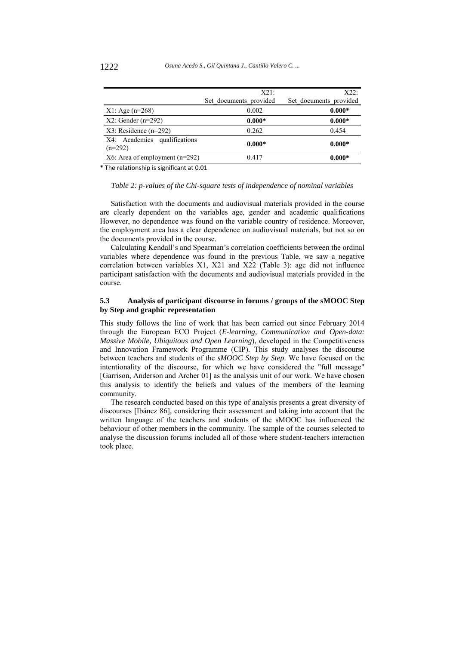|                                           | X21:<br>Set documents provided | X22:<br>Set documents provided |
|-------------------------------------------|--------------------------------|--------------------------------|
| $X1: Age (n=268)$                         | 0.002                          | $0.000*$                       |
| $X2$ : Gender (n=292)                     | $0.000*$                       | $0.000*$                       |
| $X3$ : Residence (n=292)                  | 0.262                          | 0.454                          |
| X4: Academics qualifications<br>$(n=292)$ | $0.000*$                       | $0.000*$                       |
| $X6$ : Area of employment (n=292)         | 0.417                          | $0.000*$                       |

\* The relationship is significant at 0.01

#### *Table 2: p-values of the Chi-square tests of independence of nominal variables*

Satisfaction with the documents and audiovisual materials provided in the course are clearly dependent on the variables age, gender and academic qualifications However, no dependence was found on the variable country of residence. Moreover, the employment area has a clear dependence on audiovisual materials, but not so on the documents provided in the course.

Calculating Kendall's and Spearman's correlation coefficients between the ordinal variables where dependence was found in the previous Table, we saw a negative correlation between variables X1, X21 and X22 (Table 3): age did not influence participant satisfaction with the documents and audiovisual materials provided in the course.

### **5.3 Analysis of participant discourse in forums / groups of the sMOOC Step by Step and graphic representation**

This study follows the line of work that has been carried out since February 2014 through the European ECO Project (*E-learning, Communication and Open-data: Massive Mobile, Ubiquitous and Open Learning*), developed in the Competitiveness and Innovation Framework Programme (CIP). This study analyses the discourse between teachers and students of the *sMOOC Step by Step*. We have focused on the intentionality of the discourse, for which we have considered the "full message" [Garrison, Anderson and Archer 01] as the analysis unit of our work. We have chosen this analysis to identify the beliefs and values of the members of the learning community.

The research conducted based on this type of analysis presents a great diversity of discourses [Ibánez 86], considering their assessment and taking into account that the written language of the teachers and students of the sMOOC has influenced the behaviour of other members in the community. The sample of the courses selected to analyse the discussion forums included all of those where student-teachers interaction took place.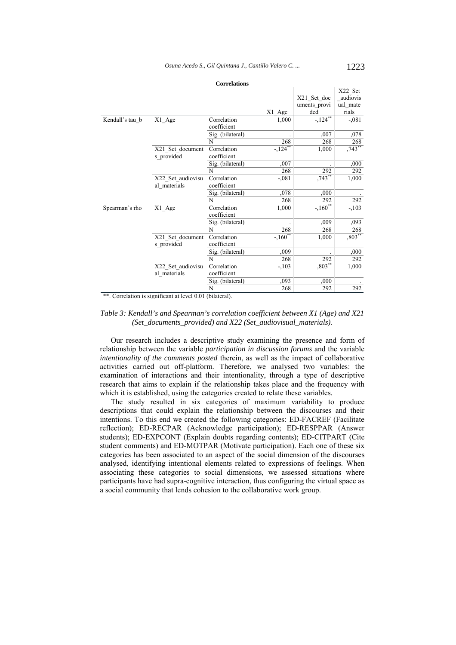|                 |                   |                  |            |              | X22 Set   |
|-----------------|-------------------|------------------|------------|--------------|-----------|
|                 |                   |                  |            | X21 Set doc  | audiovis  |
|                 |                   |                  |            | uments provi | ual_mate  |
|                 |                   |                  | X1 Age     | ded          | rials     |
| Kendall's tau b | X1 Age            | Correlation      | 1,000      | $-124$       | $-0.081$  |
|                 |                   | coefficient      |            |              |           |
|                 |                   | Sig. (bilateral) |            | ,007         | ,078      |
|                 |                   | N                | 268        | 268          | 268       |
|                 | X21 Set document  | Correlation      | $-124$     | 1,000        | $,743***$ |
|                 | s provided        | coefficient      |            |              |           |
|                 |                   | Sig. (bilateral) | ,007       |              | ,000      |
|                 |                   | N                | 268        | 292          | 292       |
|                 | X22 Set audiovisu | Correlation      | $-.081$    | $,743$ **    | 1,000     |
|                 | al materials      | coefficient      |            |              |           |
|                 |                   | Sig. (bilateral) | ,078       | ,000         |           |
|                 |                   | N                | 268        | 292          | 292       |
| Spearman's rho  | X1 Age            | Correlation      | 1,000      | $-160^{**}$  | $-.103$   |
|                 |                   | coefficient      |            |              |           |
|                 |                   | Sig. (bilateral) |            | ,009         | ,093      |
|                 |                   | N                | 268        | 268          | 268       |
|                 | X21_Set_document  | Correlation      | $-1.160**$ | 1,000        | $,803***$ |
|                 | s provided        | coefficient      |            |              |           |
|                 |                   | Sig. (bilateral) | ,009       |              | ,000      |
|                 |                   | N                | 268        | 292          | 292       |
|                 | X22 Set audiovisu | Correlation      | $-.103$    | $,803**$     | 1,000     |
|                 | al materials      | coefficient      |            |              |           |
|                 |                   | Sig. (bilateral) | ,093       | ,000         |           |
|                 |                   | N                | 268        | 292          | 292       |

**Correlations**

\*\*. Correlation is significant at level 0.01 (bilateral).

### *Table 3: Kendall's and Spearman's correlation coefficient between X1 (Age) and X21 (Set\_documents\_provided) and X22 (Set\_audiovisual\_materials).*

Our research includes a descriptive study examining the presence and form of relationship between the variable *participation in discussion forums* and the variable *intentionality of the comments posted* therein, as well as the impact of collaborative activities carried out off-platform. Therefore, we analysed two variables: the examination of interactions and their intentionality, through a type of descriptive research that aims to explain if the relationship takes place and the frequency with which it is established, using the categories created to relate these variables.

The study resulted in six categories of maximum variability to produce descriptions that could explain the relationship between the discourses and their intentions. To this end we created the following categories: ED-FACREF (Facilitate reflection); ED-RECPAR (Acknowledge participation); ED-RESPPAR (Answer students); ED-EXPCONT (Explain doubts regarding contents); ED-CITPART (Cite student comments) and ED-MOTPAR (Motivate participation). Each one of these six categories has been associated to an aspect of the social dimension of the discourses analysed, identifying intentional elements related to expressions of feelings. When associating these categories to social dimensions, we assessed situations where participants have had supra-cognitive interaction, thus configuring the virtual space as a social community that lends cohesion to the collaborative work group.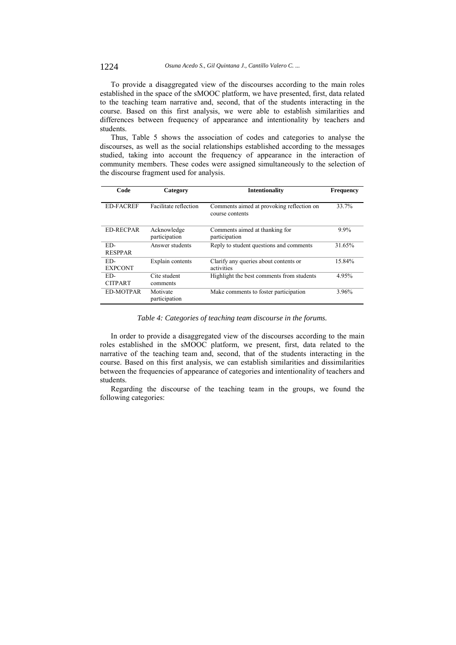To provide a disaggregated view of the discourses according to the main roles established in the space of the sMOOC platform, we have presented, first, data related to the teaching team narrative and, second, that of the students interacting in the course. Based on this first analysis, we were able to establish similarities and differences between frequency of appearance and intentionality by teachers and students.

Thus, Table 5 shows the association of codes and categories to analyse the discourses, as well as the social relationships established according to the messages studied, taking into account the frequency of appearance in the interaction of community members. These codes were assigned simultaneously to the selection of the discourse fragment used for analysis.

| Code                  | Category                     | Intentionality                                               | <b>Frequency</b> |
|-----------------------|------------------------------|--------------------------------------------------------------|------------------|
| <b>ED-FACREF</b>      | Facilitate reflection        | Comments aimed at provoking reflection on<br>course contents | 33.7%            |
| <b>ED-RECPAR</b>      | Acknowledge<br>participation | Comments aimed at thanking for<br>participation              | $9.9\%$          |
| ED-<br><b>RESPPAR</b> | Answer students              | Reply to student questions and comments                      | 31.65%           |
| ED-<br><b>EXPCONT</b> | Explain contents             | Clarify any queries about contents or<br>activities          | 15.84%           |
| ED-<br><b>CITPART</b> | Cite student<br>comments     | Highlight the best comments from students                    | 4.95%            |
| <b>ED-MOTPAR</b>      | Motivate<br>participation    | Make comments to foster participation                        | 3.96%            |

*Table 4: Categories of teaching team discourse in the forums.*

In order to provide a disaggregated view of the discourses according to the main roles established in the sMOOC platform, we present, first, data related to the narrative of the teaching team and, second, that of the students interacting in the course. Based on this first analysis, we can establish similarities and dissimilarities between the frequencies of appearance of categories and intentionality of teachers and students.

Regarding the discourse of the teaching team in the groups, we found the following categories: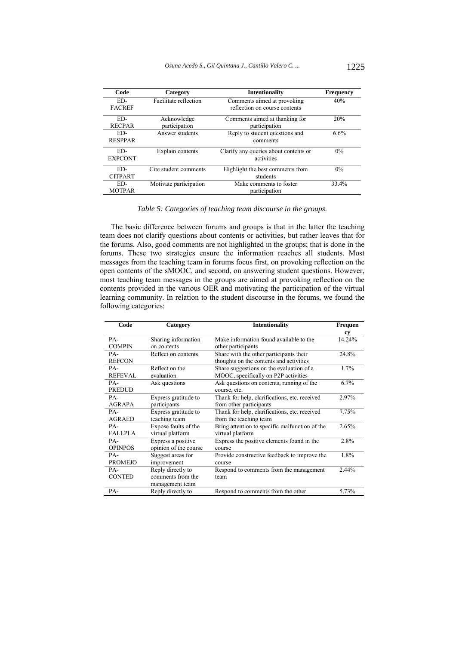| Code           | Category               | <b>Intentionality</b>                 | <b>Frequency</b> |
|----------------|------------------------|---------------------------------------|------------------|
| ED-            | Facilitate reflection  | Comments aimed at provoking           | 40%              |
| <b>FACREF</b>  |                        | reflection on course contents         |                  |
| ED-            | Acknowledge            | Comments aimed at thanking for        | 20%              |
| <b>RECPAR</b>  | participation          | participation                         |                  |
| ED-            | Answer students        | Reply to student questions and        | 6.6%             |
| <b>RESPPAR</b> |                        | comments                              |                  |
| ED-            | Explain contents       | Clarify any queries about contents or | 0%               |
| <b>EXPCONT</b> |                        | activities                            |                  |
| ED-            | Cite student comments  | Highlight the best comments from      | $0\%$            |
| <b>CITPART</b> |                        | students                              |                  |
| ED-            | Motivate participation | Make comments to foster               | 33.4%            |
| <b>MOTPAR</b>  |                        | participation                         |                  |

*Table 5: Categories of teaching team discourse in the groups.*

The basic difference between forums and groups is that in the latter the teaching team does not clarify questions about contents or activities, but rather leaves that for the forums. Also, good comments are not highlighted in the groups; that is done in the forums. These two strategies ensure the information reaches all students. Most messages from the teaching team in forums focus first, on provoking reflection on the open contents of the sMOOC, and second, on answering student questions. However, most teaching team messages in the groups are aimed at provoking reflection on the contents provided in the various OER and motivating the participation of the virtual learning community. In relation to the student discourse in the forums, we found the following categories:

| Code           | Category              | <b>Intentionality</b>                          | <b>Frequen</b> |
|----------------|-----------------------|------------------------------------------------|----------------|
|                |                       |                                                | cy             |
| PA-            | Sharing information   | Make information found available to the        | 14.24%         |
| <b>COMPIN</b>  | on contents           | other participants                             |                |
| $PA-$          | Reflect on contents   | Share with the other participants their        | 24.8%          |
| <b>REFCON</b>  |                       | thoughts on the contents and activities        |                |
| $PA-$          | Reflect on the        | Share suggestions on the evaluation of a       | 1.7%           |
| <b>REFEVAL</b> | evaluation            | MOOC, specifically on P2P activities           |                |
| PA-            | Ask questions         | Ask questions on contents, running of the      | $6.7\%$        |
| PREDUD         |                       | course, etc.                                   |                |
| $PA-$          | Express gratitude to  | Thank for help, clarifications, etc. received  | 2.97%          |
| <b>AGRAPA</b>  | participants          | from other participants                        |                |
| PA-            | Express gratitude to  | Thank for help, clarifications, etc. received  | 7.75%          |
| <b>AGRAED</b>  | teaching team         | from the teaching team                         |                |
| $PA-$          | Expose faults of the  | Bring attention to specific malfunction of the | 2.65%          |
| <b>FALLPLA</b> | virtual platform      | virtual platform                               |                |
| PA-            | Express a positive    | Express the positive elements found in the     | 2.8%           |
| <b>OPINPOS</b> | opinion of the course | course                                         |                |
| PA-            | Suggest areas for     | Provide constructive feedback to improve the   | 1.8%           |
| <b>PROMEJO</b> | improvement           | course                                         |                |
| PA-            | Reply directly to     | Respond to comments from the management        | 2.44%          |
| <b>CONTED</b>  | comments from the     | team                                           |                |
|                | management team       |                                                |                |
| PA-            | Reply directly to     | Respond to comments from the other             | 5.73%          |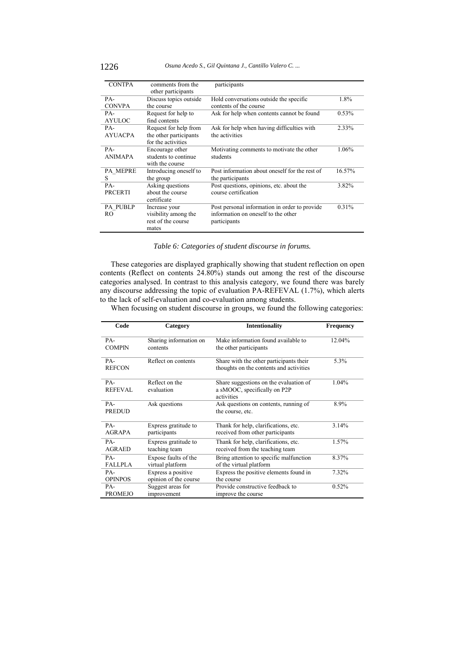| <b>CONTPA</b>   | comments from the<br>other participants | participants                                   |        |
|-----------------|-----------------------------------------|------------------------------------------------|--------|
| PA-             | Discuss topics outside                  | Hold conversations outside the specific        | 1.8%   |
| <b>CONVPA</b>   | the course                              | contents of the course                         |        |
| PA-             | Request for help to                     | Ask for help when contents cannot be found     | 0.53%  |
| <b>AYULOC</b>   | find contents                           |                                                |        |
| PA-             | Request for help from                   | Ask for help when having difficulties with     | 2.33%  |
| <b>AYUACPA</b>  | the other participants                  | the activities                                 |        |
|                 | for the activities                      |                                                |        |
| PA-             | Encourage other                         | Motivating comments to motivate the other      | 1.06%  |
| <b>ANIMAPA</b>  | students to continue                    | students                                       |        |
|                 | with the course                         |                                                |        |
| <b>PA MEPRE</b> | Introducing oneself to                  | Post information about oneself for the rest of | 16.57% |
| S               | the group                               | the participants                               |        |
| $PA-$           | Asking questions                        | Post questions, opinions, etc. about the       | 3.82%  |
| PRCERTI         | about the course                        | course certification                           |        |
|                 | certificate                             |                                                |        |
| <b>PA PUBLP</b> | Increase your                           | Post personal information in order to provide  | 0.31%  |
| RO              | visibility among the                    | information on oneself to the other            |        |
|                 | rest of the course                      | participants                                   |        |
|                 | mates                                   |                                                |        |

*Table 6: Categories of student discourse in forums.*

These categories are displayed graphically showing that student reflection on open contents (Reflect on contents 24.80%) stands out among the rest of the discourse categories analysed. In contrast to this analysis category, we found there was barely any discourse addressing the topic of evaluation PA-REFEVAL (1.7%), which alerts to the lack of self-evaluation and co-evaluation among students.

When focusing on student discourse in groups, we found the following categories:

| Code                  | Category                     | <b>Intentionality</b>                                                                | <b>Frequency</b> |
|-----------------------|------------------------------|--------------------------------------------------------------------------------------|------------------|
| $PA-$                 | Sharing information on       | Make information found available to                                                  | 12.04%           |
| <b>COMPIN</b>         | contents                     | the other participants                                                               |                  |
| PA-<br><b>REFCON</b>  | Reflect on contents          | Share with the other participants their<br>thoughts on the contents and activities   | 5.3%             |
| PA-<br><b>REFEVAL</b> | Reflect on the<br>evaluation | Share suggestions on the evaluation of<br>a sMOOC, specifically on P2P<br>activities | 1.04%            |
| PA-<br><b>PREDUD</b>  | Ask questions                | Ask questions on contents, running of<br>the course, etc.                            | 8.9%             |
| $PA-$                 | Express gratitude to         | Thank for help, clarifications, etc.                                                 | 3.14%            |
| <b>AGRAPA</b>         | participants                 | received from other participants                                                     |                  |
| $PA-$                 | Express gratitude to         | Thank for help, clarifications, etc.                                                 | 1.57%            |
| <b>AGRAED</b>         | teaching team                | received from the teaching team                                                      |                  |
| PA-                   | Expose faults of the         | Bring attention to specific malfunction                                              | 8.37%            |
| <b>FALLPLA</b>        | virtual platform             | of the virtual platform                                                              |                  |
| PA-                   | Express a positive           | Express the positive elements found in                                               | 7.32%            |
| <b>OPINPOS</b>        | opinion of the course        | the course                                                                           |                  |
| PA-                   | Suggest areas for            | Provide constructive feedback to                                                     | 0.52%            |
| <b>PROMEJO</b>        | improvement                  | improve the course                                                                   |                  |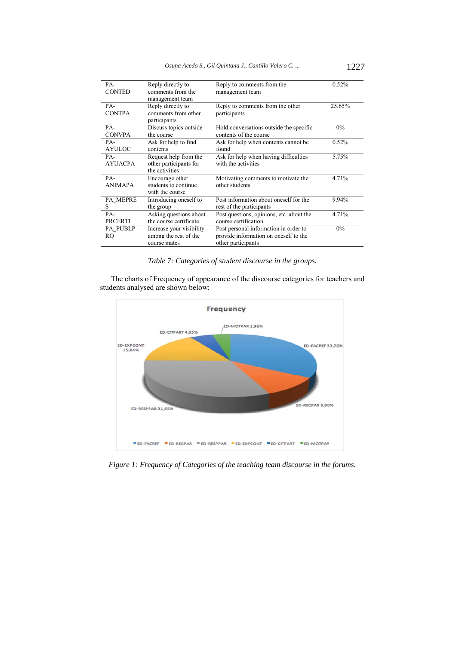| PA-<br><b>CONTED</b>  | Reply directly to<br>comments from the<br>management team         | Reply to comments from the<br>management team                                                        | 0.52%  |
|-----------------------|-------------------------------------------------------------------|------------------------------------------------------------------------------------------------------|--------|
| PA-<br><b>CONTPA</b>  | Reply directly to<br>comments from other<br>participants          | Reply to comments from the other<br>participants                                                     | 25.65% |
| PA-<br><b>CONVPA</b>  | Discuss topics outside<br>the course                              | Hold conversations outside the specific<br>contents of the course                                    | $0\%$  |
| PA-<br><b>AYULOC</b>  | Ask for help to find<br>contents                                  | Ask for help when contents cannot be<br>found                                                        | 0.52%  |
| PA-<br><b>AYUACPA</b> | Request help from the<br>other participants for<br>the activities | Ask for help when having difficulties<br>with the activities                                         | 5.75%  |
| PA-<br><b>ANIMAPA</b> | Encourage other<br>students to continue<br>with the course        | Motivating comments to motivate the<br>other students                                                | 4.71%  |
| PA MEPRE<br>S         | Introducing oneself to<br>the group                               | Post information about oneself for the<br>rest of the participants                                   | 9.94%  |
| PA-<br><b>PRCERTI</b> | Asking questions about<br>the course certificate                  | Post questions, opinions, etc. about the<br>course certification                                     | 4.71%  |
| <b>PA PUBLP</b><br>RO | Increase your visibility<br>among the rest of the<br>course mates | Post personal information in order to<br>provide information on oneself to the<br>other participants | $0\%$  |

*Table 7: Categories of student discourse in the groups.* 

The charts of Frequency of appearance of the discourse categories for teachers and students analysed are shown below:



*Figure 1: Frequency of Categories of the teaching team discourse in the forums.*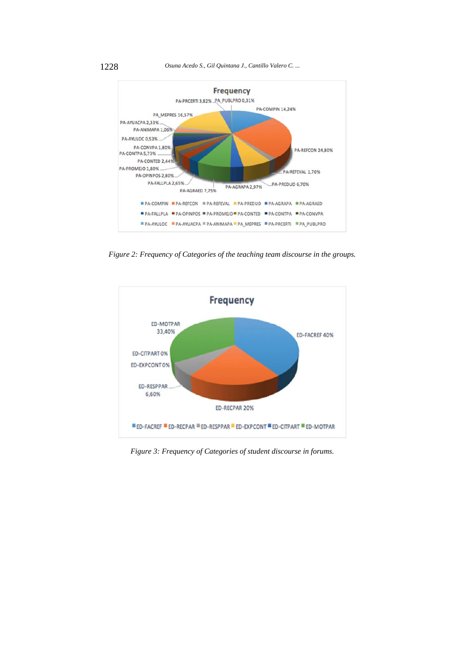1228 *Osuna Acedo S., Gil Quintana J., Cantillo Valero C. ...*



*Figure 2: Frequency of Categories of the teaching team discourse in the groups.* 



*Figure 3: Frequency of Categories of student discourse in forums.*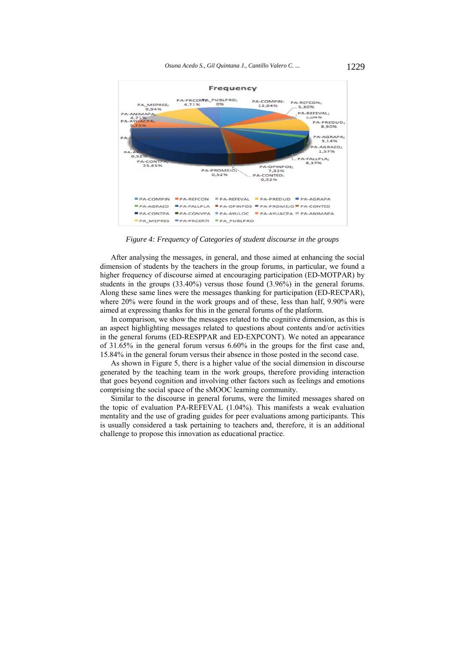

*Figure 4: Frequency of Categories of student discourse in the groups*

After analysing the messages, in general, and those aimed at enhancing the social dimension of students by the teachers in the group forums, in particular, we found a higher frequency of discourse aimed at encouraging participation (ED-MOTPAR) by students in the groups (33.40%) versus those found (3.96%) in the general forums. Along these same lines were the messages thanking for participation (ED-RECPAR), where 20% were found in the work groups and of these, less than half, 9.90% were aimed at expressing thanks for this in the general forums of the platform.

In comparison, we show the messages related to the cognitive dimension, as this is an aspect highlighting messages related to questions about contents and/or activities in the general forums (ED-RESPPAR and ED-EXPCONT). We noted an appearance of 31.65% in the general forum versus 6.60% in the groups for the first case and, 15.84% in the general forum versus their absence in those posted in the second case.

As shown in Figure 5, there is a higher value of the social dimension in discourse generated by the teaching team in the work groups, therefore providing interaction that goes beyond cognition and involving other factors such as feelings and emotions comprising the social space of the sMOOC learning community.

Similar to the discourse in general forums, were the limited messages shared on the topic of evaluation PA-REFEVAL (1.04%). This manifests a weak evaluation mentality and the use of grading guides for peer evaluations among participants. This is usually considered a task pertaining to teachers and, therefore, it is an additional challenge to propose this innovation as educational practice.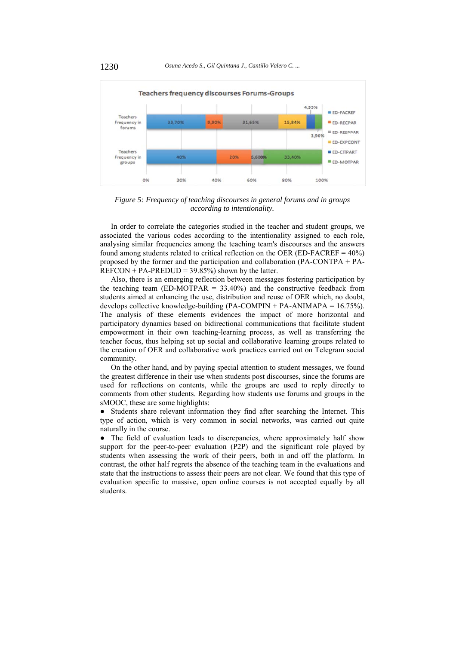

*Figure 5: Frequency of teaching discourses in general forums and in groups according to intentionality.*

In order to correlate the categories studied in the teacher and student groups, we associated the various codes according to the intentionality assigned to each role, analysing similar frequencies among the teaching team's discourses and the answers found among students related to critical reflection on the OER (ED-FACREF = 40%) proposed by the former and the participation and collaboration (PA-CONTPA + PA- $REFCON + PA-PREDUD = 39.85\%$  shown by the latter.

Also, there is an emerging reflection between messages fostering participation by the teaching team (ED-MOTPAR =  $33.40\%$ ) and the constructive feedback from students aimed at enhancing the use, distribution and reuse of OER which, no doubt, develops collective knowledge-building  $(PA-COMPIN + PA-ANIMAPA = 16.75\%)$ . The analysis of these elements evidences the impact of more horizontal and participatory dynamics based on bidirectional communications that facilitate student empowerment in their own teaching-learning process, as well as transferring the teacher focus, thus helping set up social and collaborative learning groups related to the creation of OER and collaborative work practices carried out on Telegram social community.

On the other hand, and by paying special attention to student messages, we found the greatest difference in their use when students post discourses, since the forums are used for reflections on contents, while the groups are used to reply directly to comments from other students. Regarding how students use forums and groups in the sMOOC, these are some highlights:

● Students share relevant information they find after searching the Internet. This type of action, which is very common in social networks, was carried out quite naturally in the course.

• The field of evaluation leads to discrepancies, where approximately half show support for the peer-to-peer evaluation (P2P) and the significant role played by students when assessing the work of their peers, both in and off the platform. In contrast, the other half regrets the absence of the teaching team in the evaluations and state that the instructions to assess their peers are not clear. We found that this type of evaluation specific to massive, open online courses is not accepted equally by all students.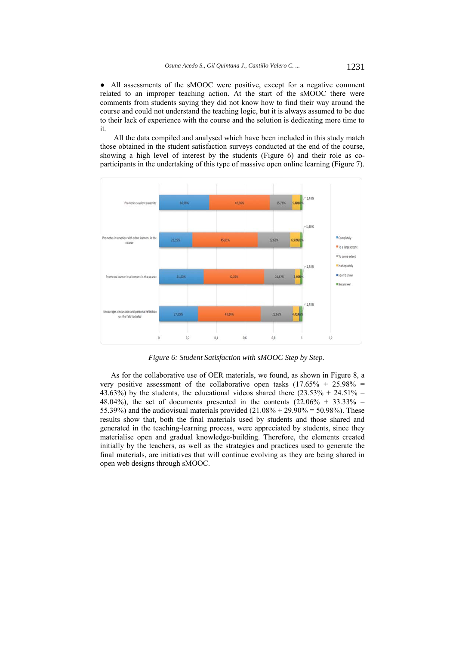● All assessments of the sMOOC were positive, except for a negative comment related to an improper teaching action. At the start of the sMOOC there were comments from students saying they did not know how to find their way around the course and could not understand the teaching logic, but it is always assumed to be due to their lack of experience with the course and the solution is dedicating more time to it.

All the data compiled and analysed which have been included in this study match those obtained in the student satisfaction surveys conducted at the end of the course, showing a high level of interest by the students (Figure 6) and their role as coparticipants in the undertaking of this type of massive open online learning (Figure 7).



*Figure 6: Student Satisfaction with sMOOC Step by Step.* 

As for the collaborative use of OER materials, we found, as shown in Figure 8, a very positive assessment of the collaborative open tasks  $(17.65\% + 25.98\% =$ 43.63%) by the students, the educational videos shared there  $(23.53\% + 24.51\% =$ 48.04%), the set of documents presented in the contents  $(22.06\% + 33.33\% =$ 55.39%) and the audiovisual materials provided  $(21.08\% + 29.90\% = 50.98\%)$ . These results show that, both the final materials used by students and those shared and generated in the teaching-learning process, were appreciated by students, since they materialise open and gradual knowledge-building. Therefore, the elements created initially by the teachers, as well as the strategies and practices used to generate the final materials, are initiatives that will continue evolving as they are being shared in open web designs through sMOOC.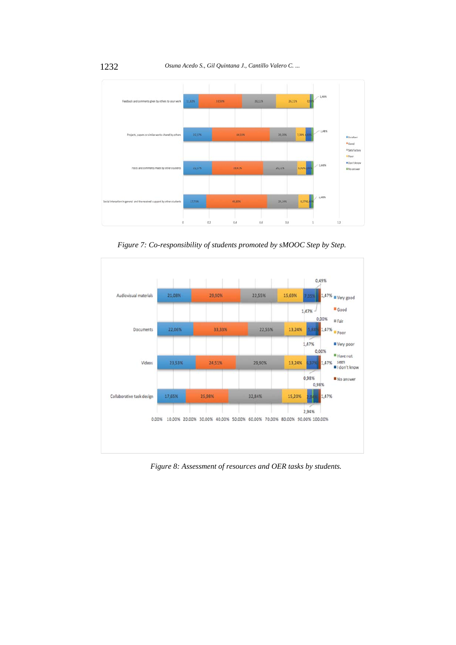

*Figure 7: Co-responsibility of students promoted by sMOOC Step by Step.*



*Figure 8: Assessment of resources and OER tasks by students.*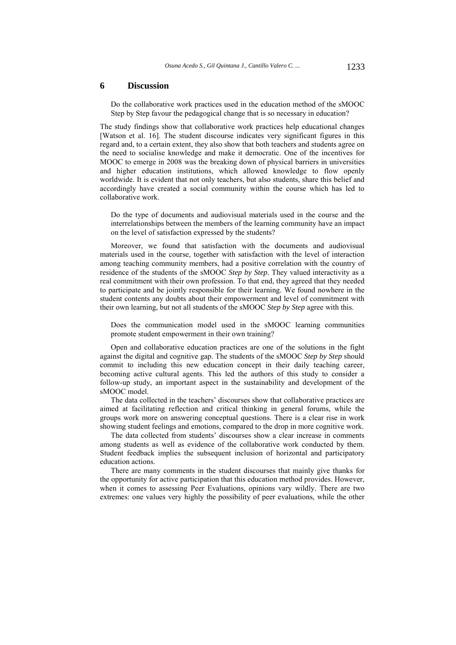#### **6 Discussion**

Do the collaborative work practices used in the education method of the sMOOC Step by Step favour the pedagogical change that is so necessary in education?

The study findings show that collaborative work practices help educational changes [Watson et al. 16]. The student discourse indicates very significant figures in this regard and, to a certain extent, they also show that both teachers and students agree on the need to socialise knowledge and make it democratic. One of the incentives for MOOC to emerge in 2008 was the breaking down of physical barriers in universities and higher education institutions, which allowed knowledge to flow openly worldwide. It is evident that not only teachers, but also students, share this belief and accordingly have created a social community within the course which has led to collaborative work.

Do the type of documents and audiovisual materials used in the course and the interrelationships between the members of the learning community have an impact on the level of satisfaction expressed by the students?

Moreover, we found that satisfaction with the documents and audiovisual materials used in the course, together with satisfaction with the level of interaction among teaching community members, had a positive correlation with the country of residence of the students of the sMOOC *Step by Step*. They valued interactivity as a real commitment with their own profession. To that end, they agreed that they needed to participate and be jointly responsible for their learning. We found nowhere in the student contents any doubts about their empowerment and level of commitment with their own learning, but not all students of the sMOOC *Step by Step* agree with this.

Does the communication model used in the sMOOC learning communities promote student empowerment in their own training?

Open and collaborative education practices are one of the solutions in the fight against the digital and cognitive gap. The students of the sMOOC *Step by Step* should commit to including this new education concept in their daily teaching career, becoming active cultural agents. This led the authors of this study to consider a follow-up study, an important aspect in the sustainability and development of the sMOOC model.

The data collected in the teachers' discourses show that collaborative practices are aimed at facilitating reflection and critical thinking in general forums, while the groups work more on answering conceptual questions. There is a clear rise in work showing student feelings and emotions, compared to the drop in more cognitive work.

The data collected from students' discourses show a clear increase in comments among students as well as evidence of the collaborative work conducted by them. Student feedback implies the subsequent inclusion of horizontal and participatory education actions.

There are many comments in the student discourses that mainly give thanks for the opportunity for active participation that this education method provides. However, when it comes to assessing Peer Evaluations, opinions vary wildly. There are two extremes: one values very highly the possibility of peer evaluations, while the other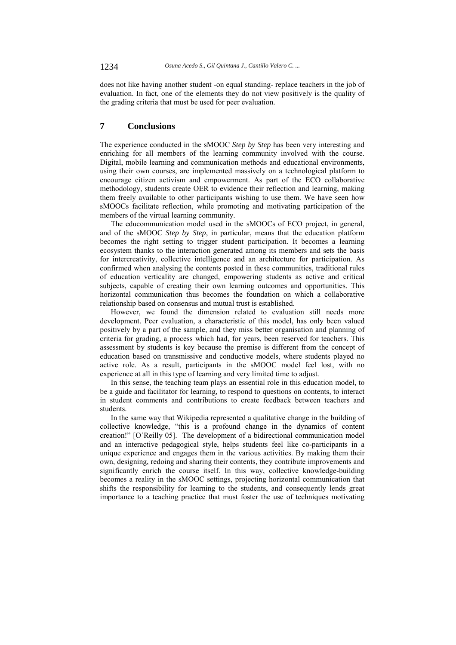does not like having another student -on equal standing- replace teachers in the job of evaluation. In fact, one of the elements they do not view positively is the quality of the grading criteria that must be used for peer evaluation.

# **7 Conclusions**

The experience conducted in the sMOOC *Step by Step* has been very interesting and enriching for all members of the learning community involved with the course. Digital, mobile learning and communication methods and educational environments, using their own courses, are implemented massively on a technological platform to encourage citizen activism and empowerment. As part of the ECO collaborative methodology, students create OER to evidence their reflection and learning, making them freely available to other participants wishing to use them. We have seen how sMOOCs facilitate reflection, while promoting and motivating participation of the members of the virtual learning community.

The educommunication model used in the sMOOCs of ECO project, in general, and of the sMOOC *Step by Step*, in particular, means that the education platform becomes the right setting to trigger student participation. It becomes a learning ecosystem thanks to the interaction generated among its members and sets the basis for intercreativity, collective intelligence and an architecture for participation. As confirmed when analysing the contents posted in these communities, traditional rules of education verticality are changed, empowering students as active and critical subjects, capable of creating their own learning outcomes and opportunities. This horizontal communication thus becomes the foundation on which a collaborative relationship based on consensus and mutual trust is established.

However, we found the dimension related to evaluation still needs more development. Peer evaluation, a characteristic of this model, has only been valued positively by a part of the sample, and they miss better organisation and planning of criteria for grading, a process which had, for years, been reserved for teachers. This assessment by students is key because the premise is different from the concept of education based on transmissive and conductive models, where students played no active role. As a result, participants in the sMOOC model feel lost, with no experience at all in this type of learning and very limited time to adjust.

In this sense, the teaching team plays an essential role in this education model, to be a guide and facilitator for learning, to respond to questions on contents, to interact in student comments and contributions to create feedback between teachers and students.

In the same way that Wikipedia represented a qualitative change in the building of collective knowledge, "this is a profound change in the dynamics of content creation!" [O´Reilly 05]. The development of a bidirectional communication model and an interactive pedagogical style, helps students feel like co-participants in a unique experience and engages them in the various activities. By making them their own, designing, redoing and sharing their contents, they contribute improvements and significantly enrich the course itself. In this way, collective knowledge-building becomes a reality in the sMOOC settings, projecting horizontal communication that shifts the responsibility for learning to the students, and consequently lends great importance to a teaching practice that must foster the use of techniques motivating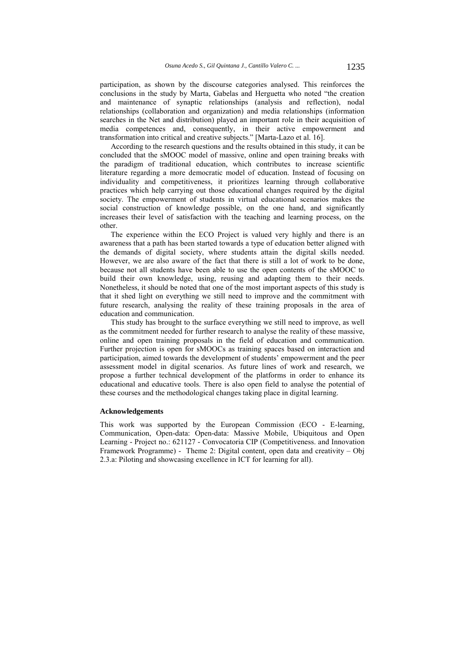participation, as shown by the discourse categories analysed. This reinforces the conclusions in the study by Marta, Gabelas and Herguetta who noted "the creation and maintenance of synaptic relationships (analysis and reflection), nodal relationships (collaboration and organization) and media relationships (information searches in the Net and distribution) played an important role in their acquisition of media competences and, consequently, in their active empowerment and transformation into critical and creative subjects." [Marta-Lazo et al. 16].

According to the research questions and the results obtained in this study, it can be concluded that the sMOOC model of massive, online and open training breaks with the paradigm of traditional education, which contributes to increase scientific literature regarding a more democratic model of education. Instead of focusing on individuality and competitiveness, it prioritizes learning through collaborative practices which help carrying out those educational changes required by the digital society. The empowerment of students in virtual educational scenarios makes the social construction of knowledge possible, on the one hand, and significantly increases their level of satisfaction with the teaching and learning process, on the other.

The experience within the ECO Project is valued very highly and there is an awareness that a path has been started towards a type of education better aligned with the demands of digital society, where students attain the digital skills needed. However, we are also aware of the fact that there is still a lot of work to be done, because not all students have been able to use the open contents of the sMOOC to build their own knowledge, using, reusing and adapting them to their needs. Nonetheless, it should be noted that one of the most important aspects of this study is that it shed light on everything we still need to improve and the commitment with future research, analysing the reality of these training proposals in the area of education and communication.

This study has brought to the surface everything we still need to improve, as well as the commitment needed for further research to analyse the reality of these massive, online and open training proposals in the field of education and communication. Further projection is open for sMOOCs as training spaces based on interaction and participation, aimed towards the development of students' empowerment and the peer assessment model in digital scenarios. As future lines of work and research, we propose a further technical development of the platforms in order to enhance its educational and educative tools. There is also open field to analyse the potential of these courses and the methodological changes taking place in digital learning.

#### **Acknowledgements**

This work was supported by the European Commission (ECO - E-learning, Communication, Open-data: Open-data: Massive Mobile, Ubiquitous and Open Learning - Project no.: 621127 - Convocatoria CIP (Competitiveness. and Innovation Framework Programme) - Theme 2: Digital content, open data and creativity – Obj 2.3.a: Piloting and showcasing excellence in ICT for learning for all).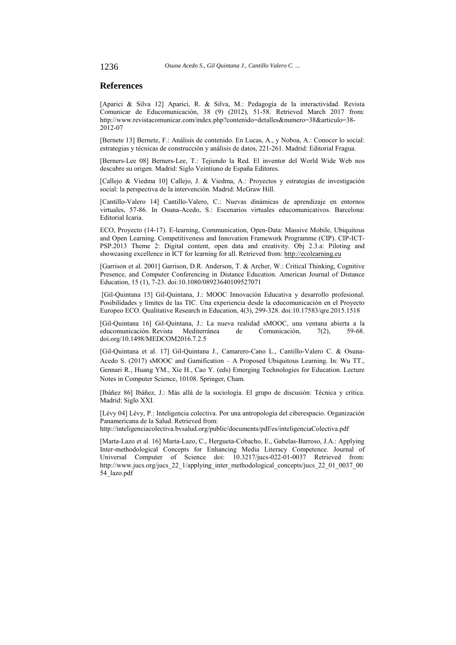### **References**

[Aparici & Silva 12] Aparici, R. & Silva, M.: Pedagogía de la interactividad. Revista Comunicar de Educomunicación, 38 (9) (2012), 51-58. Retrieved March 2017 from: http://www.revistacomunicar.com/index.php?contenido=detalles&numero=38&articulo=38- 2012-07

[Bernete 13] Bernete, F.: Análisis de contenido. En Lucas, A., y Noboa, A.: Conocer lo social: estrategias y técnicas de construcción y análisis de datos, 221-261. Madrid: Editorial Fragua.

[Berners-Lee 08] Berners-Lee, T.: Tejiendo la Red. El inventor del World Wide Web nos descubre su origen. Madrid: Siglo Veintiuno de España Editores.

[Callejo & Viedma 10] Callejo, J. & Viedma, A.: Proyectos y estrategias de investigación social: la perspectiva de la intervención. Madrid: McGraw Hill.

[Cantillo-Valero 14] Cantillo-Valero, C.: Nuevas dinámicas de aprendizaje en entornos virtuales, 57-86. In Osuna-Acedo, S.: Escenarios virtuales educomunicativos. Barcelona: Editorial Icaria.

ECO, Proyecto (14-17). E-learning, Communication, Open-Data: Massive Mobile, Ubiquitous and Open Learning. Competitiveness and Innovation Framework Programme (CIP). CIP-ICT-PSP.2013 Theme 2: Digital content, open data and creativity. Obj 2.3.a: Piloting and showcasing excellence in ICT for learning for all. Retrieved from: http://ecolearning.eu

[Garrison et al. 2001] Garrison, D.R. Anderson, T. & Archer, W.: Critical Thinking, Cognitive Presence, and Computer Conferencing in Distance Education. American Journal of Distance Education, 15 (1), 7-23. doi:10.1080/08923640109527071

 [Gil-Quintana 15] Gil-Quintana, J.: MOOC Innovación Educativa y desarrollo profesional. Posibilidades y límites de las TIC. Una experiencia desde la educomunicación en el Proyecto Europeo ECO. Qualitative Research in Education, 4(3), 299-328. doi:10.17583/qre.2015.1518

[Gil-Quintana 16] Gil-Quintana, J.: La nueva realidad sMOOC, una ventana abierta a la educomunicación. Revista Mediterránea de Comunicación, 7(2), 59-68. doi.org/10.1498/MEDCOM2016.7.2.5

[Gil-Quintana et al. 17] Gil-Quintana J., Camarero-Cano L., Cantillo-Valero C. & Osuna-Acedo S. (2017) sMOOC and Gamification – A Proposed Ubiquitous Learning. In: Wu TT., Gennari R., Huang YM., Xie H., Cao Y. (eds) Emerging Technologies for Education. Lecture Notes in Computer Science, 10108. Springer, Cham.

[Ibáñez 86] Ibáñez, J.: Más allá de la sociología. El grupo de discusión: Técnica y crítica. Madrid: Siglo XXI.

[Lévy 04] Lévy, P.: Inteligencia colectiva. Por una antropología del ciberespacio. Organización Panamericana de la Salud. Retrieved from:

http://inteligenciacolectiva.bvsalud.org/public/documents/pdf/es/inteligenciaColectiva.pdf

[Marta-Lazo et al. 16] Marta-Lazo, C., Hergueta-Cobacho, E., Gabelas-Barroso, J.A.: Applying Inter-methodological Concepts for Enhancing Media Literacy Competence. Journal of Universal Computer of Science doi:  $10.3217$ /jucs-022-01-0037 Retrieved from: http://www.jucs.org/jucs 22 1/applying inter\_methodological\_concepts/jucs\_22\_01\_0037\_00 54\_lazo.pdf